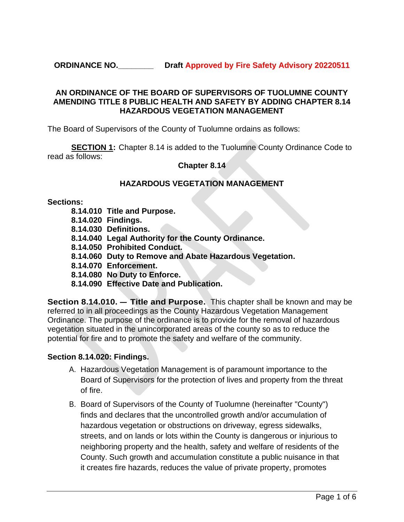**ORDINANCE NO.\_\_\_\_\_\_\_\_ Draft Approved by Fire Safety Advisory 20220511**

# **AN ORDINANCE OF THE BOARD OF SUPERVISORS OF TUOLUMNE COUNTY AMENDING TITLE 8 PUBLIC HEALTH AND SAFETY BY ADDING CHAPTER 8.14 HAZARDOUS VEGETATION MANAGEMENT**

The Board of Supervisors of the County of Tuolumne ordains as follows:

**SECTION 1:** Chapter 8.14 is added to the Tuolumne County Ordinance Code to read as follows:

### **Chapter 8.14**

# **HAZARDOUS VEGETATION MANAGEMENT**

#### **Sections:**

- **8.14.010 Title and Purpose.**
- **8.14.020 Findings.**
- **8.14.030 Definitions.**
- **8.14.040 Legal Authority for the County Ordinance.**
- **8.14.050 Prohibited Conduct.**
- **8.14.060 Duty to Remove and Abate Hazardous Vegetation.**
- **8.14.070 Enforcement.**
- **8.14.080 No Duty to Enforce.**
- **8.14.090 Effective Date and Publication.**

**Section 8.14.010. – Title and Purpose.** This chapter shall be known and may be referred to in all proceedings as the County Hazardous Vegetation Management Ordinance. The purpose of the ordinance is to provide for the removal of hazardous vegetation situated in the unincorporated areas of the county so as to reduce the potential for fire and to promote the safety and welfare of the community.

# **Section 8.14.020: Findings.**

- A. Hazardous Vegetation Management is of paramount importance to the Board of Supervisors for the protection of lives and property from the threat of fire.
- B. Board of Supervisors of the County of Tuolumne (hereinafter "County") finds and declares that the uncontrolled growth and/or accumulation of hazardous vegetation or obstructions on driveway, egress sidewalks, streets, and on lands or lots within the County is dangerous or injurious to neighboring property and the health, safety and welfare of residents of the County. Such growth and accumulation constitute a public nuisance in that it creates fire hazards, reduces the value of private property, promotes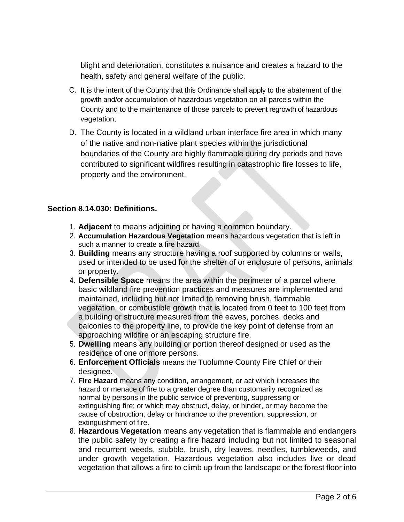blight and deterioration, constitutes a nuisance and creates a hazard to the health, safety and general welfare of the public.

- C. It is the intent of the County that this Ordinance shall apply to the abatement of the growth and/or accumulation of hazardous vegetation on all parcels within the County and to the maintenance of those parcels to prevent regrowth of hazardous vegetation;
- D. The County is located in a wildland urban interface fire area in which many of the native and non-native plant species within the jurisdictional boundaries of the County are highly flammable during dry periods and have contributed to significant wildfires resulting in catastrophic fire losses to life, property and the environment.

# **Section 8.14.030: Definitions.**

- 1. **Adjacent** to means adjoining or having a common boundary.
- 2. **Accumulation Hazardous Vegetation** means hazardous vegetation that is left in such a manner to create a fire hazard.
- 3. **Building** means any structure having a roof supported by columns or walls, used or intended to be used for the shelter of or enclosure of persons, animals or property.
- 4. **Defensible Space** means the area within the perimeter of a parcel where basic wildland fire prevention practices and measures are implemented and maintained, including but not limited to removing brush, flammable vegetation, or combustible growth that is located from 0 feet to 100 feet from a building or structure measured from the eaves, porches, decks and balconies to the property line, to provide the key point of defense from an approaching wildfire or an escaping structure fire.
- 5. **Dwelling** means any building or portion thereof designed or used as the residence of one or more persons.
- 6. **Enforcement Officials** means the Tuolumne County Fire Chief or their designee.
- 7. **Fire Hazard** means any condition, arrangement, or act which increases the hazard or menace of fire to a greater degree than customarily recognized as normal by persons in the public service of preventing, suppressing or extinguishing fire; or which may obstruct, delay, or hinder, or may become the cause of obstruction, delay or hindrance to the prevention, suppression, or extinguishment of fire.
- 8. **Hazardous Vegetation** means any vegetation that is flammable and endangers the public safety by creating a fire hazard including but not limited to seasonal and recurrent weeds, stubble, brush, dry leaves, needles, tumbleweeds, and under growth vegetation. Hazardous vegetation also includes live or dead vegetation that allows a fire to climb up from the landscape or the forest floor into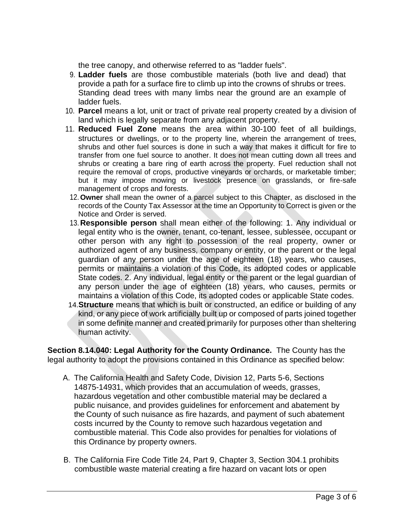the tree canopy, and otherwise referred to as "ladder fuels".

- 9. **Ladder fuels** are those combustible materials (both live and dead) that provide a path for a surface fire to climb up into the crowns of shrubs or trees. Standing dead trees with many limbs near the ground are an example of ladder fuels.
- 10. **Parcel** means a lot, unit or tract of private real property created by a division of land which is legally separate from any adjacent property.
- 11. **Reduced Fuel Zone** means the area within 30-100 feet of all buildings, structures or dwellings, or to the property line, wherein the arrangement of trees, shrubs and other fuel sources is done in such a way that makes it difficult for fire to transfer from one fuel source to another. It does not mean cutting down all trees and shrubs or creating a bare ring of earth across the property. Fuel reduction shall not require the removal of crops, productive vineyards or orchards, or marketable timber; but it may impose mowing or livestock presence on grasslands, or fire-safe management of crops and forests.
- 12. **Owner** shall mean the owner of a parcel subject to this Chapter, as disclosed in the records of the County Tax Assessor at the time an Opportunity to Correct is given or the Notice and Order is served.
- 13. **Responsible person** shall mean either of the following: 1. Any individual or legal entity who is the owner, tenant, co-tenant, lessee, sublessee, occupant or other person with any right to possession of the real property, owner or authorized agent of any business, company or entity, or the parent or the legal guardian of any person under the age of eighteen (18) years, who causes, permits or maintains a violation of this Code, its adopted codes or applicable State codes. 2. Any individual, legal entity or the parent or the legal guardian of any person under the age of eighteen (18) years, who causes, permits or maintains a violation of this Code, its adopted codes or applicable State codes.
- 14.**Structure** means that which is built or constructed, an edifice or building of any kind, or any piece of work artificially built up or composed of parts joined together in some definite manner and created primarily for purposes other than sheltering human activity.

**Section 8.14.040: Legal Authority for the County Ordinance.** The County has the legal authority to adopt the provisions contained in this Ordinance as specified below:

- A. The California Health and Safety Code, Division 12, Parts 5-6, Sections 14875-14931, which provides that an accumulation of weeds, grasses, hazardous vegetation and other combustible material may be declared a public nuisance, and provides guidelines for enforcement and abatement by the County of such nuisance as fire hazards, and payment of such abatement costs incurred by the County to remove such hazardous vegetation and combustible material. This Code also provides for penalties for violations of this Ordinance by property owners.
- B. The California Fire Code Title 24, Part 9, Chapter 3, Section 304.1 prohibits combustible waste material creating a fire hazard on vacant lots or open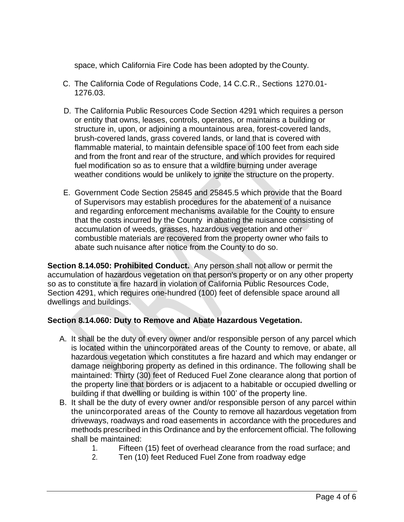space, which California Fire Code has been adopted by the County.

- C. The California Code of Regulations Code, 14 C.C.R., Sections 1270.01- 1276.03.
- D. The California Public Resources Code Section 4291 which requires a person or entity that owns, leases, controls, operates, or maintains a building or structure in, upon, or adjoining a mountainous area, forest-covered lands, brush-covered lands, grass covered lands, or land that is covered with flammable material, to maintain defensible space of 100 feet from each side and from the front and rear of the structure, and which provides for required fuel modification so as to ensure that a wildfire burning under average weather conditions would be unlikely to ignite the structure on the property.
- E. Government Code Section 25845 and 25845.5 which provide that the Board of Supervisors may establish procedures for the abatement of a nuisance and regarding enforcement mechanisms available for the County to ensure that the costs incurred by the County in abating the nuisance consisting of accumulation of weeds, grasses, hazardous vegetation and other combustible materials are recovered from the property owner who fails to abate such nuisance after notice from the County to do so.

**Section 8.14.050: Prohibited Conduct.** Any person shall not allow or permit the accumulation of hazardous vegetation on that person's property or on any other property so as to constitute a fire hazard in violation of California Public Resources Code, Section 4291, which requires one-hundred (100) feet of defensible space around all dwellings and buildings.

# **Section 8.14.060: Duty to Remove and Abate Hazardous Vegetation.**

- A. It shall be the duty of every owner and/or responsible person of any parcel which is located within the unincorporated areas of the County to remove, or abate, all hazardous vegetation which constitutes a fire hazard and which may endanger or damage neighboring property as defined in this ordinance. The following shall be maintained: Thirty (30) feet of Reduced Fuel Zone clearance along that portion of the property line that borders or is adjacent to a habitable or occupied dwelling or building if that dwelling or building is within 100' of the property line.
- B. It shall be the duty of every owner and/or responsible person of any parcel within the unincorporated areas of the County to remove all hazardous vegetation from driveways, roadways and road easements in accordance with the procedures and methods prescribed in this Ordinance and by the enforcement official. The following shall be maintained:
	- 1. Fifteen (15) feet of overhead clearance from the road surface; and
	- 2. Ten (10) feet Reduced Fuel Zone from roadway edge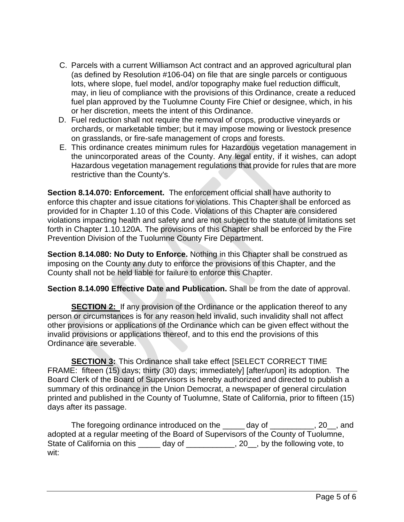- C. Parcels with a current Williamson Act contract and an approved agricultural plan (as defined by Resolution #106-04) on file that are single parcels or contiguous lots, where slope, fuel model, and/or topography make fuel reduction difficult, may, in lieu of compliance with the provisions of this Ordinance, create a reduced fuel plan approved by the Tuolumne County Fire Chief or designee, which, in his or her discretion, meets the intent of this Ordinance.
- D. Fuel reduction shall not require the removal of crops, productive vineyards or orchards, or marketable timber; but it may impose mowing or livestock presence on grasslands, or fire-safe management of crops and forests.
- E. This ordinance creates minimum rules for Hazardous vegetation management in the unincorporated areas of the County. Any legal entity, if it wishes, can adopt Hazardous vegetation management regulations that provide for rules that are more restrictive than the County's.

**Section 8.14.070: Enforcement.** The enforcement official shall have authority to enforce this chapter and issue citations for violations. This Chapter shall be enforced as provided for in Chapter 1.10 of this Code. Violations of this Chapter are considered violations impacting health and safety and are not subject to the statute of limitations set forth in Chapter 1.10.120A. The provisions of this Chapter shall be enforced by the Fire Prevention Division of the Tuolumne County Fire Department.

**Section 8.14.080: No Duty to Enforce.** Nothing in this Chapter shall be construed as imposing on the County any duty to enforce the provisions of this Chapter, and the County shall not be held liable for failure to enforce this Chapter.

**Section 8.14.090 Effective Date and Publication.** Shall be from the date of approval.

**SECTION 2:** If any provision of the Ordinance or the application thereof to any person or circumstances is for any reason held invalid, such invalidity shall not affect other provisions or applications of the Ordinance which can be given effect without the invalid provisions or applications thereof, and to this end the provisions of this Ordinance are severable.

**SECTION 3:** This Ordinance shall take effect [SELECT CORRECT TIME FRAME: fifteen (15) days; thirty (30) days; immediately] [after/upon] its adoption. The Board Clerk of the Board of Supervisors is hereby authorized and directed to publish a summary of this ordinance in the Union Democrat, a newspaper of general circulation printed and published in the County of Tuolumne, State of California, prior to fifteen (15) days after its passage.

The foregoing ordinance introduced on the day of the contact and all  $\alpha$ , 20, and adopted at a regular meeting of the Board of Supervisors of the County of Tuolumne, State of California on this \_\_\_\_\_ day of \_\_\_\_\_\_\_\_\_\_, 20\_, by the following vote, to wit: